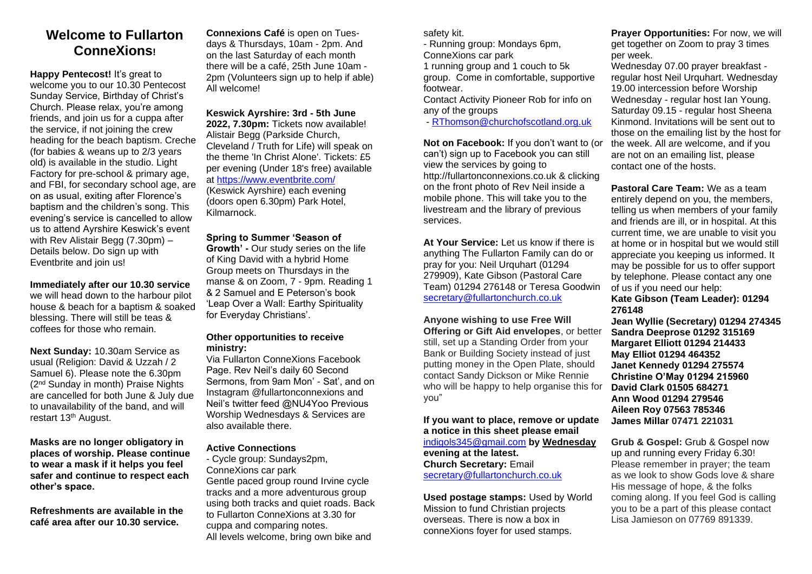## **Welcome to Fullarton ConneXions!**

**Happy Pentecost!** It's great to welcome you to our 10.30 Pentecost Sunday Service, Birthday of Christ's Church. Please relax, you're among friends, and join us for a cuppa after the service, if not joining the crew heading for the beach baptism. Creche (for babies & weans up to 2/3 years old) is available in the studio. Light Factory for pre-school & primary age, and FBI, for secondary school age, are on as usual, exiting after Florence's baptism and the children's song. This evening's service is cancelled to allow us to attend Ayrshire Keswick's event with Rev Alistair Begg (7.30pm) – Details below. Do sign up with Eventbrite and join us!

**Immediately after our 10.30 service**  we will head down to the harbour pilot house & beach for a baptism & soaked blessing. There will still be teas & coffees for those who remain.

**Next Sunday:** 10.30am Service as usual (Religion: David & Uzzah / 2 Samuel 6). Please note the 6.30pm (2nd Sunday in month) Praise Nights are cancelled for both June & July due to unavailability of the band, and will restart 13th August.

**Masks are no longer obligatory in places of worship. Please continue to wear a mask if it helps you feel safer and continue to respect each other's space.** 

**Refreshments are available in the café area after our 10.30 service.** 

**Connexions Café** is open on Tuesdays & Thursdays, 10am - 2pm. And on the last Saturday of each month there will be a café, 25th June 10am - 2pm (Volunteers sign up to help if able) All welcome!

**Keswick Ayrshire: 3rd - 5th June 2022, 7.30pm:** Tickets now available! Alistair Begg (Parkside Church, Cleveland / Truth for Life) will speak on the theme 'In Christ Alone'. Tickets: £5 per evening (Under 18's free) available at [https://www.eventbrite.com/](https://www.eventbrite.com/.../keswick-ayrshire-2022)

(Keswick Ayrshire) each evening (doors open 6.30pm) Park Hotel, Kilmarnock.

#### **Spring to Summer 'Season of**

**Growth' -** Our study series on the life of King David with a hybrid Home Group meets on Thursdays in the manse & on Zoom, 7 - 9pm. Reading 1 & 2 Samuel and E Peterson's book 'Leap Over a Wall: Earthy Spirituality for Everyday Christians'.

#### **Other opportunities to receive ministry:**

Via Fullarton ConneXions Facebook Page. Rev Neil's daily 60 Second Sermons, from 9am Mon' - Sat', and on Instagram @fullartonconnexions and Neil's twitter feed @NU4Yoo Previous Worship Wednesdays & Services are also available there.

#### **Active Connections**

- Cycle group: Sundays2pm, ConneXions car park Gentle paced group round Irvine cycle tracks and a more adventurous group using both tracks and quiet roads. Back to Fullarton ConneXions at 3.30 for cuppa and comparing notes. All levels welcome, bring own bike and

safety kit.

- Running group: Mondays 6pm,

ConneXions car park 1 running group and 1 couch to 5k group. Come in comfortable, supportive footwear.

Contact Activity Pioneer Rob for info on any of the groups

- [RThomson@churchofscotland.org.](mailto:RThomson@churchofscotland.org)uk

**Not on Facebook:** If you don't want to (or can't) sign up to Facebook you can still view the services by going to http://fullartonconnexions.co.uk & clicking on the front photo of Rev Neil inside a mobile phone. This will take you to the livestream and the library of previous services.

**At Your Service:** Let us know if there is anything The Fullarton Family can do or pray for you: Neil Urquhart (01294 279909), Kate Gibson (Pastoral Care Team) 01294 276148 or Teresa Goodwin [secretary@fullartonchurch.co.uk](mailto:secretary@fullartonchurch.co.uk)

### **Anyone wishing to use Free Will**

**Offering or Gift Aid envelopes**, or better still, set up a Standing Order from your Bank or Building Society instead of just putting money in the Open Plate, should contact Sandy Dickson or Mike Rennie who will be happy to help organise this for you"

#### **If you want to place, remove or update a notice in this sheet please email**

[indigols345@gmail.com](mailto:indigols345@gmail.com) **by Wednesday evening at the latest. Church Secretary:** Email [secretary@fullartonchurch.co.uk](mailto:secretary@fullartonchurch.co.uk)

**Used postage stamps:** Used by World Mission to fund Christian projects overseas. There is now a box in conneXions foyer for used stamps.

**Prayer Opportunities:** For now, we will get together on Zoom to pray 3 times per week.

Wednesday 07.00 prayer breakfast regular host Neil Urquhart. Wednesday 19.00 intercession before Worship Wednesday - regular host Ian Young. Saturday 09.15 - regular host Sheena Kinmond. Invitations will be sent out to those on the emailing list by the host for the week. All are welcome, and if you are not on an emailing list, please contact one of the hosts.

**Pastoral Care Team:** We as a team entirely depend on you, the members, telling us when members of your family and friends are ill, or in hospital. At this current time, we are unable to visit you at home or in hospital but we would still appreciate you keeping us informed. It may be possible for us to offer support by telephone. Please contact any one of us if you need our help:

### **Kate Gibson (Team Leader): 01294 276148**

**Jean Wyllie (Secretary) 01294 274345 Sandra Deeprose 01292 315169 Margaret Elliott 01294 214433 May Elliot 01294 464352 Janet Kennedy 01294 275574 Christine O'May 01294 215960 David Clark 01505 684271 Ann Wood 01294 279546 Aileen Roy 07563 785346 James Millar 07471 221031**

**Grub & Gospel:** Grub & Gospel now up and running every Friday 6.30! Please remember in prayer; the team as we look to show Gods love & share His message of hope, & the folks coming along. If you feel God is calling you to be a part of this please contact Lisa Jamieson on 07769 891339.